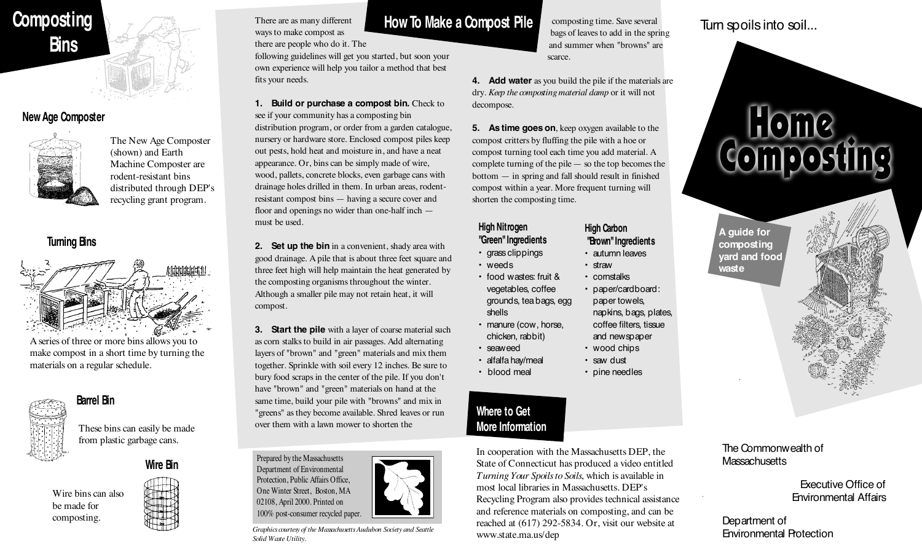# **Composting Bins**

#### **New Age Composter**



The New Age Composter (shown) and Earth Machine Composter are rodent-resistant bins distributed through DEP's recycling grant program.

#### **Turning Bins**



A series of three or more bins allows you to make compost in a short time by turning the materials on a regular schedule.



 **Barrel Bin**

These bins can easily be made from plastic garbage cans.

**Wire Bin**

Wire bins can also be made for composting.



#### There are as many different ways to make compost as

there are people who do it. The

following guidelines will get you started, but soon your own experience will help you tailor a method that best fits your needs.

- **1. Build or purchase a compost bin.** Check to see if your community has a composting bin distribution program, or order from a garden catalogue, nursery or hardware store. Enclosed compost piles keep out pests, hold heat and moisture in, and have a neat appearance. Or, bins can be simply made of wire, wood, pallets, concrete blocks, even garbage cans with drainage holes drilled in them. In urban areas, rodentresistant compost bins — having a secure cover and floor and openings no wider than one-half inch must be used.
- **2.** Set up the bin in a convenient, shady area with good drainage. A pile that is about three feet square and three feet high will help maintain the heat generated by the composting organisms throughout the winter. Although a smaller pile may not retain heat, it will compost.

**3.** Start the pile with a layer of coarse material such as corn stalks to build in air passages. Add alternating layers of "brown" and "green" materials and mix them together. Sprinkle with soil every 12 inches. Be sure to bury food scraps in the center of the pile. If you don't have "brown" and "green" materials on hand at the same time, build your pile with "browns" and mix in "greens" as they become available. Shred leaves or run over them with a lawn mower to shorten the



*Graphics courtesy of the Massachusetts Audubon Society and Seattle Solid Waste Utility.*

# **How To Make a Compost Pile**

composting time. Save several bags of leaves to add in the spring and summer when "browns" are scarce.

**4. Add water** as you build the pile if the materials are dry. *Keep the composting material damp* or it will not decompose.

**5.** As time goes on, keep oxygen available to the compost critters by fluffing the pile with a hoe or compost turning tool each time you add material. A complete turning of the pile— so the top becomes the bottom — in spring and fall should result in finished compost within a year. More frequent turning will shorten the composting time.

#### **High Nitrogen "Green" Ingredients**

• food wastes: fruit & vegetables, coffee

• manure (cow, horse, chicken, rabbit)

• grass clippings

• weeds

shells

• seaweed • alfalfa hay/meal • blood meal

- - cornstalks
- grounds, tea bags, egg • paper/cardboard: paper towels, napkins, bags, plates,
	- coffee filters, tissue and newspaper
	- wood chips
	- saw dust • pine needles

#### **Where to Get More Information**

In cooperation with the Massachusetts DEP, the State of Connecticut has produced a video entitled *Turning Your Spoils to Soils*, which is available in most local libraries in Massachusetts. DEP's Recycling Program also provides technical assistance and reference materials on composting, and can be reached at (617) 292-5834. Or, visit our website at www.state.ma.us/dep

## Turn spoils into soil...



**A guide for composting yard and food waste**



#### The Commonwealth of **Massachusetts**

Executive Office of Environmental Affairs

Department of Environmental Protection

**High Carbon "Brown" Ingredients** • autumn leaves • straw